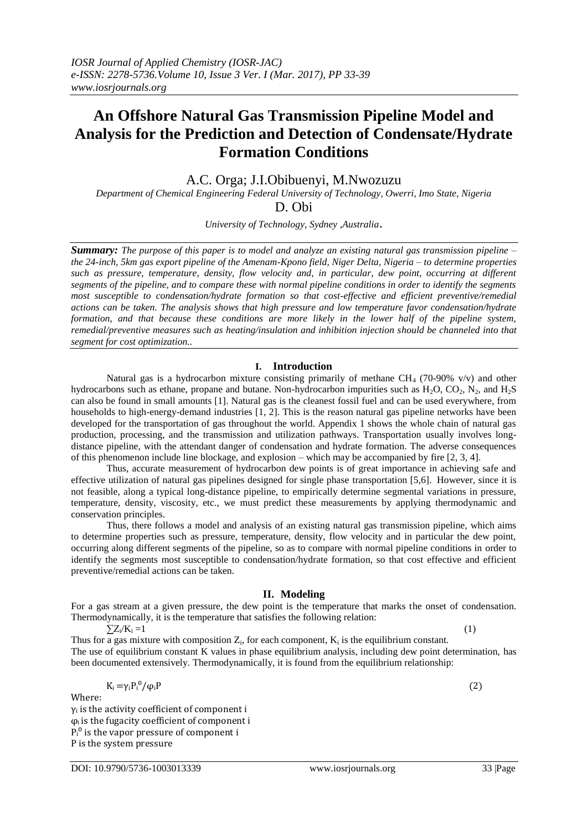# **An Offshore Natural Gas Transmission Pipeline Model and Analysis for the Prediction and Detection of Condensate/Hydrate Formation Conditions**

A.C. Orga; J.I.Obibuenyi, M.Nwozuzu

*Department of Chemical Engineering Federal University of Technology, Owerri, Imo State, Nigeria* D. Obi

*University of Technology, Sydney ,Australia*.

*Summary: The purpose of this paper is to model and analyze an existing natural gas transmission pipeline – the 24-inch, 5km gas export pipeline of the Amenam-Kpono field, Niger Delta, Nigeria – to determine properties such as pressure, temperature, density, flow velocity and, in particular, dew point, occurring at different segments of the pipeline, and to compare these with normal pipeline conditions in order to identify the segments most susceptible to condensation/hydrate formation so that cost-effective and efficient preventive/remedial actions can be taken. The analysis shows that high pressure and low temperature favor condensation/hydrate formation, and that because these conditions are more likely in the lower half of the pipeline system, remedial/preventive measures such as heating/insulation and inhibition injection should be channeled into that segment for cost optimization..*

# **I. Introduction**

Natural gas is a hydrocarbon mixture consisting primarily of methane  $CH<sub>4</sub>$  (70-90% v/v) and other hydrocarbons such as ethane, propane and butane. Non-hydrocarbon impurities such as  $H_2O$ ,  $CO_2$ ,  $N_2$ , and  $H_2S$ can also be found in small amounts [1]. Natural gas is the cleanest fossil fuel and can be used everywhere, from households to high-energy-demand industries [1, 2]. This is the reason natural gas pipeline networks have been developed for the transportation of gas throughout the world. Appendix 1 shows the whole chain of natural gas production, processing, and the transmission and utilization pathways. Transportation usually involves longdistance pipeline, with the attendant danger of condensation and hydrate formation. The adverse consequences of this phenomenon include line blockage, and explosion – which may be accompanied by fire [2, 3, 4].

Thus, accurate measurement of hydrocarbon dew points is of great importance in achieving safe and effective utilization of natural gas pipelines designed for single phase transportation [5,6]. However, since it is not feasible, along a typical long-distance pipeline, to empirically determine segmental variations in pressure, temperature, density, viscosity, etc., we must predict these measurements by applying thermodynamic and conservation principles.

Thus, there follows a model and analysis of an existing natural gas transmission pipeline, which aims to determine properties such as pressure, temperature, density, flow velocity and in particular the dew point, occurring along different segments of the pipeline, so as to compare with normal pipeline conditions in order to identify the segments most susceptible to condensation/hydrate formation, so that cost effective and efficient preventive/remedial actions can be taken.

# **II. Modeling**

For a gas stream at a given pressure, the dew point is the temperature that marks the onset of condensation. Thermodynamically, it is the temperature that satisfies the following relation:

 $\sum Z_i/K_i = 1$  $/K_i = 1$  (1)

Thus for a gas mixture with composition  $Z_i$ , for each component,  $K_i$  is the equilibrium constant. The use of equilibrium constant K values in phase equilibrium analysis, including dew point determination, has been documented extensively. Thermodynamically, it is found from the equilibrium relationship:

$$
K_i = \gamma_i P_i^0 / \varphi_i P \tag{2}
$$

Where:

 $y_i$  is the activity coefficient of component i  $\varphi$ <sub>i</sub> is the fugacity coefficient of component i  $P_i^0$  is the vapor pressure of component i P is the system pressure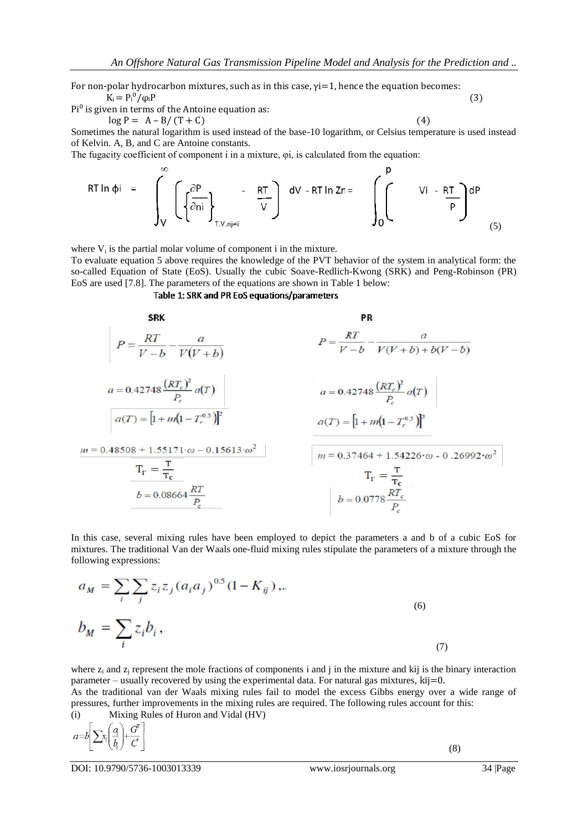For non-polar hydrocarbon mixtures, such as in this case, γi=1, hence the equation becomes:  $K_i = P_i^0 / \varphi_i P$  (3)

 $Pi^0$  is given in terms of the Antoine equation as:

$$
\log P = A - B / (T + C) \tag{4}
$$

Sometimes the natural logarithm is used instead of the base-10 logarithm, or Celsius temperature is used instead of Kelvin. A, B, and C are Antoine constants.

The fugacity coefficient of component i in a mixture, φi, is calculated from the equation:

$$
RT \ln \phi i = \int_{V}^{\infty} \left( \left\{ \frac{\partial P}{\partial n i} \right\}_{T, V, n j \neq i} - \frac{RT}{V} \right) dV - RT \ln Zn = \int_{0}^{P} Vi - \frac{RT}{P} dP
$$
 (5)

where  $V_i$  is the partial molar volume of component i in the mixture.

To evaluate equation 5 above requires the knowledge of the PVT behavior of the system in analytical form: the so-called Equation of State (EoS). Usually the cubic Soave-Redlich-Kwong (SRK) and Peng-Robinson (PR) EoS are used [7.8]. The parameters of the equations are shown in Table 1 below:

## Table 1: SRK and PR EoS equations/parameters

**5R**  
\n
$$
P = \frac{RT}{V - b} - \frac{a}{V(V + b)}
$$
\n
$$
a = 0.42748 \frac{(RT_c)^2}{P_c} a(T)
$$
\n
$$
a(T) = [1 + m(1 - T_r^{0.5})]^2
$$
\n
$$
m = 0.48508 + 1.55171 \cdot \omega - 0.15613 \cdot \omega^2
$$
\n
$$
T_r = \frac{T}{T_c}
$$
\n
$$
b = 0.08664 \frac{RT}{P_c}
$$
\n
$$
a = 0.0778 \frac{RT_c}{P_c}
$$
\n
$$
a = 0.0778 \frac{RT_c}{P_c}
$$
\n
$$
b = 0.0778 \frac{RT_c}{P_c}
$$

In this case, several mixing rules have been employed to depict the parameters a and b of a cubic EoS for mixtures. The traditional Van der Waals one-fluid mixing rules stipulate the parameters of a mixture through the following expressions:

$$
a_M = \sum_{i} \sum_{j} z_i z_j (a_i a_j)^{0.5} (1 - K_{ij}),
$$
  
\n
$$
b_M = \sum_{i} z_i b_i,
$$
\n(6)

where  $z_i$  and  $z_i$  represent the mole fractions of components i and j in the mixture and kij is the binary interaction parameter – usually recovered by using the experimental data. For natural gas mixtures, kij=0. As the traditional van der Waals mixing rules fail to model the excess Gibbs energy over a wide range of pressures, further improvements in the mixing rules are required. The following rules account for this:

(i) Mixing Rules of Huron and Vidal (HV)

DOI: 10.9790/5736-1003013339 www.iosrjournals.org 34 |Page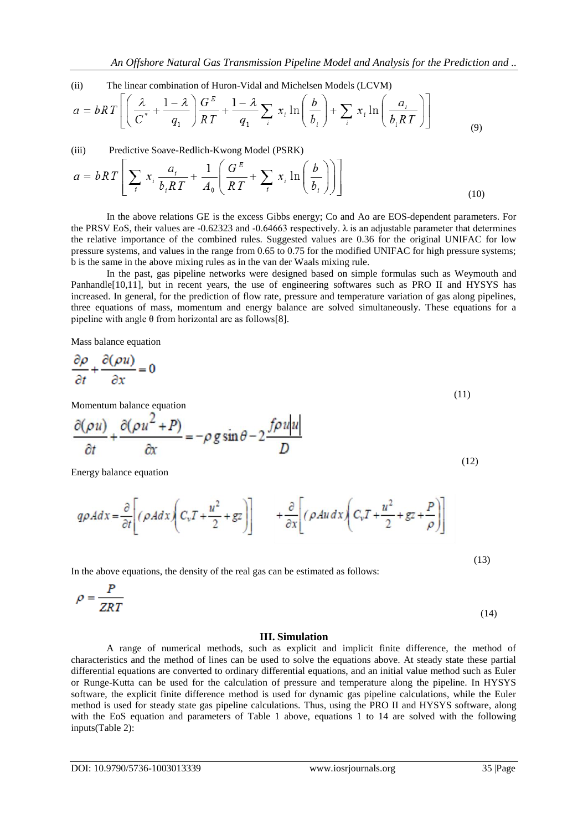(ii) The linear combination of Huron-Vidal and Michelsen Models (LCVM)

$$
a = bRT \left[ \left( \frac{\lambda}{C^*} + \frac{1-\lambda}{q_1} \right) \frac{G^E}{RT} + \frac{1-\lambda}{q_1} \sum_i x_i \ln \left( \frac{b}{b_i} \right) + \sum_i x_i \ln \left( \frac{a_i}{b_i RT} \right) \right]
$$
(9)

(iii) Predictive Soave-Redlich-Kwong Model (PSRK)

$$
a = bRT \left[ \sum_{i} x_{i} \frac{a_{i}}{b_{i}RT} + \frac{1}{A_{0}} \left( \frac{G^{E}}{RT} + \sum_{i} x_{i} \ln \left( \frac{b}{b_{i}} \right) \right) \right]
$$
(10)

In the above relations GE is the excess Gibbs energy; Co and Ao are EOS-dependent parameters. For the PRSV EoS, their values are -0.62323 and -0.64663 respectively.  $\lambda$  is an adjustable parameter that determines the relative importance of the combined rules. Suggested values are 0.36 for the original UNIFAC for low pressure systems, and values in the range from 0.65 to 0.75 for the modified UNIFAC for high pressure systems; b is the same in the above mixing rules as in the van der Waals mixing rule.

In the past, gas pipeline networks were designed based on simple formulas such as Weymouth and Panhandle<sup>[10,11]</sup>, but in recent years, the use of engineering softwares such as PRO II and HYSYS has increased. In general, for the prediction of flow rate, pressure and temperature variation of gas along pipelines, three equations of mass, momentum and energy balance are solved simultaneously. These equations for a pipeline with angle  $\theta$  from horizontal are as follows[8].

 $\cdot$  .

Mass balance equation

$$
\frac{\partial \rho}{\partial t} + \frac{\partial (\rho u)}{\partial x} = 0 \tag{11}
$$

Momentum balance equation

$$
\frac{\partial(\rho u)}{\partial t} + \frac{\partial(\rho u^2 + P)}{\partial x} = -\rho g \sin \theta - 2 \frac{f \rho u |u|}{D}
$$
\n(12)

Energy balance equation

$$
q\rho A dx = \frac{\partial}{\partial t} \left[ (\rho A dx \left( C_v T + \frac{u^2}{2} + gz \right) \right] \qquad + \frac{\partial}{\partial x} \left[ (\rho A u dx \left( C_v T + \frac{u^2}{2} + gz + \frac{P}{\rho} \right) \right]
$$

In the above equations, the density of the real gas can be estimated as follows:

$$
\rho = \frac{P}{ZRT} \tag{14}
$$

## **III. Simulation**

A range of numerical methods, such as explicit and implicit finite difference, the method of characteristics and the method of lines can be used to solve the equations above. At steady state these partial differential equations are converted to ordinary differential equations, and an initial value method such as Euler or Runge-Kutta can be used for the calculation of pressure and temperature along the pipeline. In HYSYS software, the explicit finite difference method is used for dynamic gas pipeline calculations, while the Euler method is used for steady state gas pipeline calculations. Thus, using the PRO II and HYSYS software, along with the EoS equation and parameters of Table 1 above, equations 1 to 14 are solved with the following inputs(Table 2):

(13)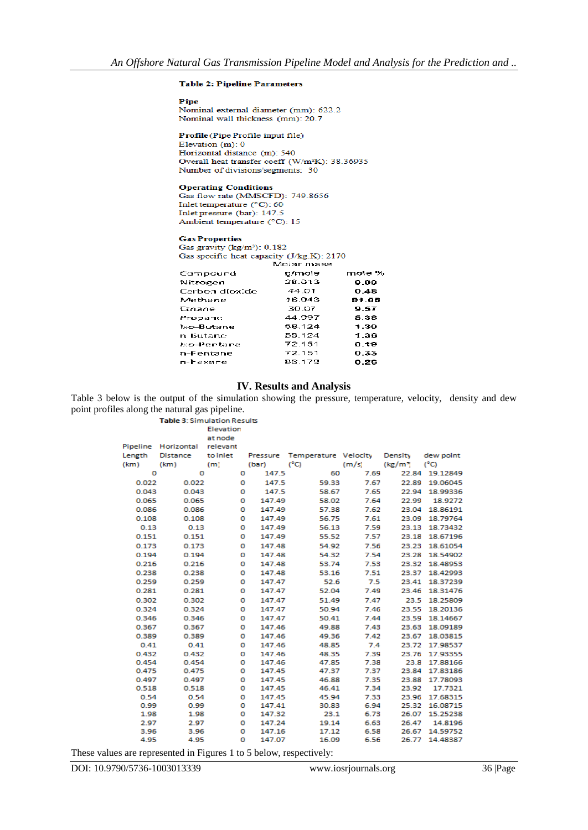## **Table 2: Pipeline Parameters**

Pipe

Nominal external diameter (mm): 622.2 Nominal wall thickness (mm): 20.7

Profile (Pipe Profile input file) Elevation  $(m)$ : 0 Horizontal distance (m): 540 Overall heat transfer coeff (W/m<sup>2</sup>K): 38.36935 Number of divisions/segments: 30

#### **Operating Conditions**

Gas flow rate (MMSCFD): 749.8656 Inlet temperature (°C): 60 Inlet pressure (bar): 147.5 Ambient temperature (°C): 15

#### **Gas Properties**

Gas gravity  $(kg/m^2)$ : 0.182 Gas specific heat capacity (J/kg.K): 2170

| g/mole | mole %    |
|--------|-----------|
| 28.013 | 0.09      |
| 44.01  | 0.48      |
| 16.043 | 81.05     |
| 30.07  | 9.57      |
| 44.997 | 5.38      |
| 58.124 | 1.30      |
| 58.124 | 1.36      |
| 72.151 | 0.19      |
| 72.151 | 0.33      |
| 86.178 | 0.26      |
|        | NORI USSE |

# **IV. Results and Analysis**

Table 3 below is the output of the simulation showing the pressure, temperature, velocity, density and dew point profiles along the natural gas pipeline.

Table 3: Simulation Results

Elevation

| Pipeline | Horizontal | relevant |          |                      |       |                      |               |
|----------|------------|----------|----------|----------------------|-------|----------------------|---------------|
| Length   | Distance   | to inlet | Pressure | Temperature Velocity |       | Density              | dew point     |
| (km)     | (km)       | (m)      | (bar)    | $(^{\circ}C)$        | (m/s) | (kg/m <sup>3</sup> ) | $(^{\circ}C)$ |
| o        | ο          | o        | 147.5    | 60                   | 7.69  | 22.84                | 19.12849      |
| 0.022    | 0.022      | o        | 147.5    | 59.33                | 7.67  | 22.89                | 19.06045      |
| 0.043    | 0.043      | o        | 147.5    | 58.67                | 7.65  | 22.94                | 18.99336      |
| 0.065    | 0.065      | o        | 147.49   | 58.02                | 7.64  | 22.99                | 18.9272       |
| 0.086    | 0.086      | o        | 147.49   | 57.38                | 7.62  | 23.04                | 18.86191      |
| 0.108    | 0.108      | o        | 147.49   | 56.75                | 7.61  | 23.09                | 18.79764      |
| 0.13     | 0.13       | o        | 147.49   | 56.13                | 7.59  | 23.13                | 18.73432      |
| 0.151    | 0.151      | о        | 147.49   | 55.52                | 7.57  | 23.18                | 18.67196      |
| 0.173    | 0.173      | o        | 147.48   | 54.92                | 7.56  | 23.23                | 18.61054      |
| 0.194    | 0.194      | o        | 147.48   | 54.32                | 7.54  | 23.28                | 18.54902      |
| 0.216    | 0.216      | o        | 147.48   | 53.74                | 7.53  | 23.32                | 18.48953      |
| 0.238    | 0.238      | o        | 147.48   | 53.16                | 7.51  | 23.37                | 18.42993      |
| 0.259    | 0.259      | o        | 147.47   | 52.6                 | 7.5   | 23.41                | 18.37239      |
| 0.281    | 0.281      | o        | 147.47   | 52.04                | 7.49  | 23.46                | 18.31476      |
| 0.302    | 0.302      | o        | 147.47   | 51.49                | 7.47  | 23.5                 | 18.25809      |
| 0.324    | 0.324      | o        | 147.47   | 50.94                | 7.46  | 23.55                | 18.20136      |
| 0.346    | 0.346      | o        | 147.47   | 50.41                | 7.44  | 23.59                | 18.14667      |
| 0.367    | 0.367      | o        | 147.46   | 49.88                | 7.43  | 23.63                | 18.09189      |
| 0.389    | 0.389      | o        | 147.46   | 49.36                | 7.42  | 23.67                | 18.03815      |
| 0.41     | 0.41       | o        | 147.46   | 48.85                | 7.4   | 23.72                | 17.98537      |
| 0.432    | 0.432      | o        | 147.46   | 48.35                | 7.39  | 23.76                | 17.93355      |
| 0.454    | 0.454      | 0        | 147.46   | 47.85                | 7.38  | 23.8                 | 17.88166      |
| 0.475    | 0.475      | o        | 147.45   | 47.37                | 7.37  | 23.84                | 17.83186      |
| 0.497    | 0.497      | o        | 147.45   | 46.88                | 7.35  | 23.88                | 17.78093      |
| 0.518    | 0.518      | o        | 147.45   | 46.41                | 7.34  | 23.92                | 17.7321       |
| 0.54     | 0.54       | o        | 147.45   | 45.94                | 7.33  | 23.96                | 17.68315      |
| 0.99     | 0.99       | o        | 147.41   | 30.83                | 6.94  | 25.32                | 16.08715      |
| 1.98     | 1.98       | o        | 147.32   | 23.1                 | 6.73  | 26.07                | 15.25238      |
| 2.97     | 2.97       | o        | 147.24   | 19.14                | 6.63  | 26.47                | 14.8196       |
| 3.96     | 3.96       | 0        | 147.16   | 17.12                | 6.58  | 26.67                | 14.59752      |
| 4.95     | 4.95       | o        | 147.07   | 16.09                | 6.56  | 26.77                | 14.48387      |

These values are represented in Figures 1 to 5 below, respectively: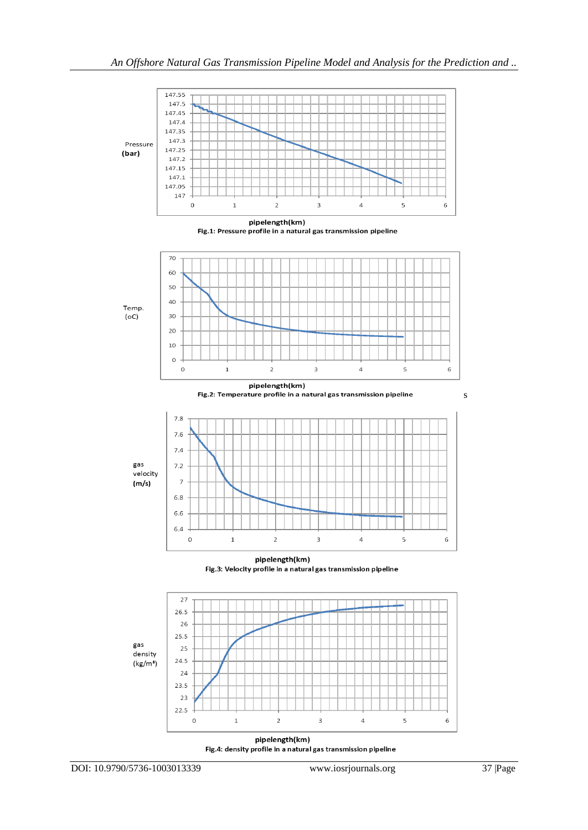

Fig.4: density profile in a natural gas transmission pipeline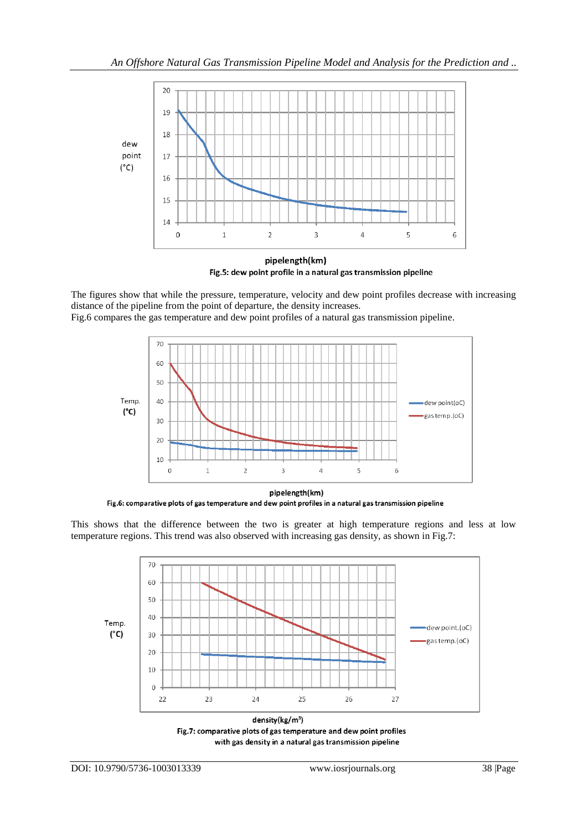

Fig.5: dew point profile in a natural gas transmission pipeline

The figures show that while the pressure, temperature, velocity and dew point profiles decrease with increasing distance of the pipeline from the point of departure, the density increases.

Fig.6 compares the gas temperature and dew point profiles of a natural gas transmission pipeline.



pipelength(km) Fig.6: comparative plots of gas temperature and dew point profiles in a natural gas transmission pipeline

This shows that the difference between the two is greater at high temperature regions and less at low temperature regions. This trend was also observed with increasing gas density, as shown in Fig.7:



density(kg/m<sup>3</sup>) Fig.7: comparative plots of gas temperature and dew point profiles with gas density in a natural gas transmission pipeline